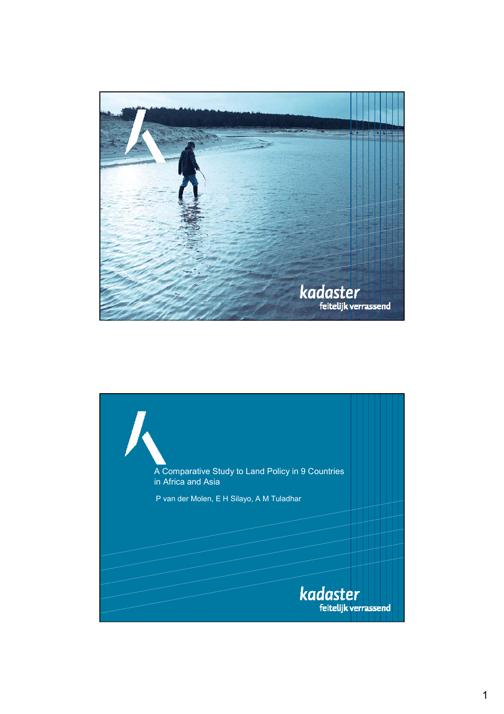

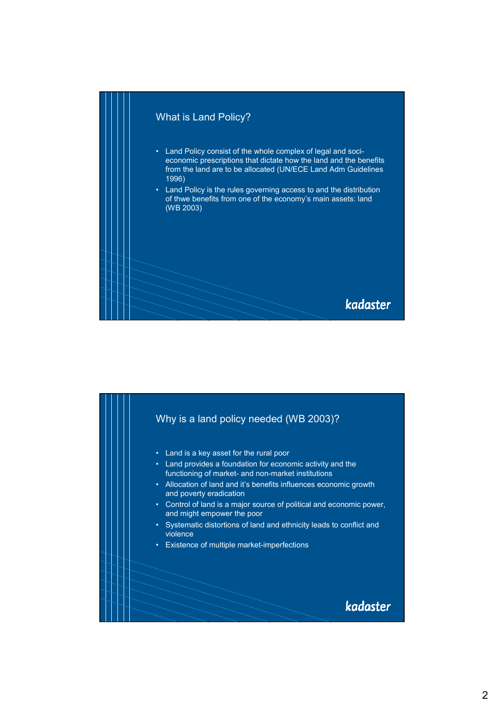

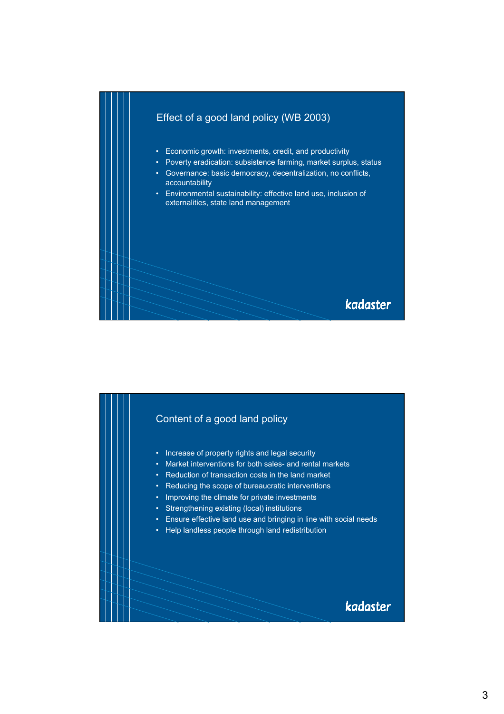

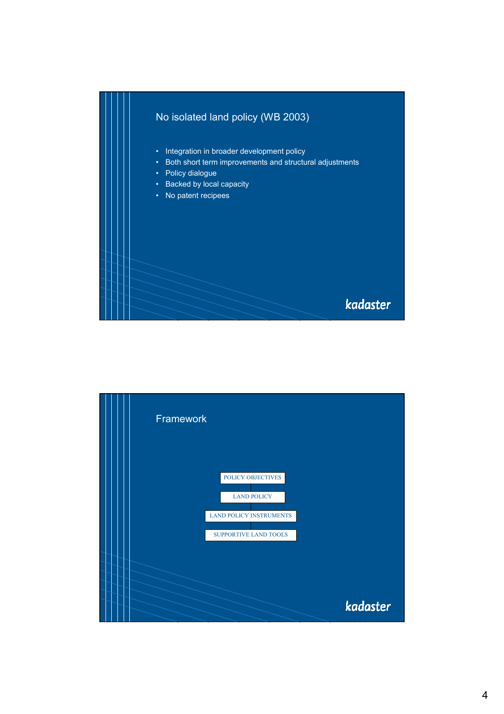

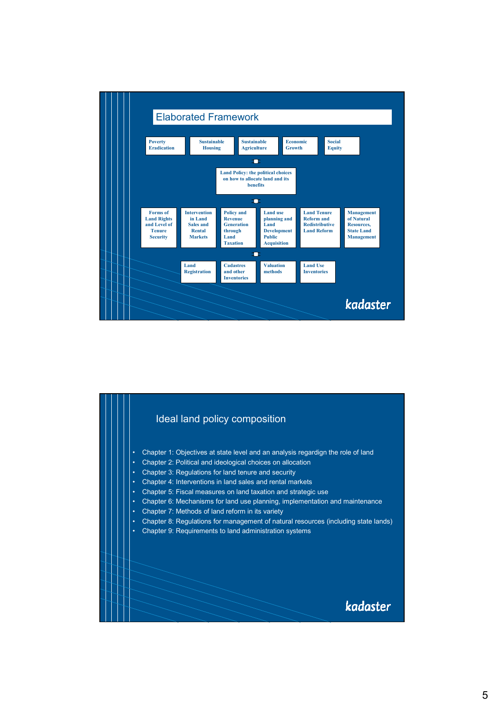

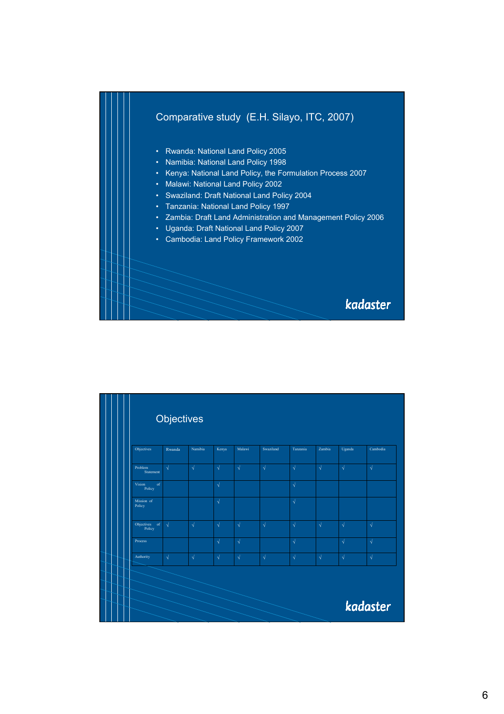

|                         | <b>Objectives</b> |            |            |            |            |            |            |            |            |
|-------------------------|-------------------|------------|------------|------------|------------|------------|------------|------------|------------|
| Objectives              | Rwanda            | Namibia    | Kenya      | Malawi     | Swaziland  | Tanzania   | Zambia     | Uganda     | Cambodia   |
| Problem<br>Statement    | $\sqrt{ }$        | $\sqrt{ }$ | $\sqrt{ }$ | $\sqrt{ }$ | $\sqrt{ }$ | $\sqrt{ }$ | $\sqrt{ }$ | $\sqrt{ }$ | $\sqrt{ }$ |
| of<br>Vision<br>Policy  |                   |            | $\sqrt{ }$ |            |            | $\sqrt{ }$ |            |            |            |
| Mission of<br>Policy    |                   |            | $\sqrt{ }$ |            |            | $\sqrt{ }$ |            |            |            |
| Objectives of<br>Policy | $\sqrt{ }$        | $\sqrt{ }$ | $\sqrt{}$  | $\sqrt{ }$ | $\sqrt{ }$ | $\sqrt{ }$ | $\sqrt{}$  | $\sqrt{}$  | $\sqrt{ }$ |
| Process                 |                   |            | $\sqrt{}$  | $\sqrt{ }$ |            | $\sqrt{ }$ |            | $\sqrt{ }$ | $\sqrt{ }$ |
| Authority               | $\sqrt{}$         | $\sqrt{}$  | $\sqrt{ }$ | $\sqrt{ }$ | $\sqrt{ }$ | $\sqrt{ }$ | $\sqrt{}$  | $\sqrt{}$  | $\sqrt{ }$ |
|                         |                   |            |            |            |            |            |            |            |            |
|                         |                   |            |            |            |            |            |            |            | kadaster   |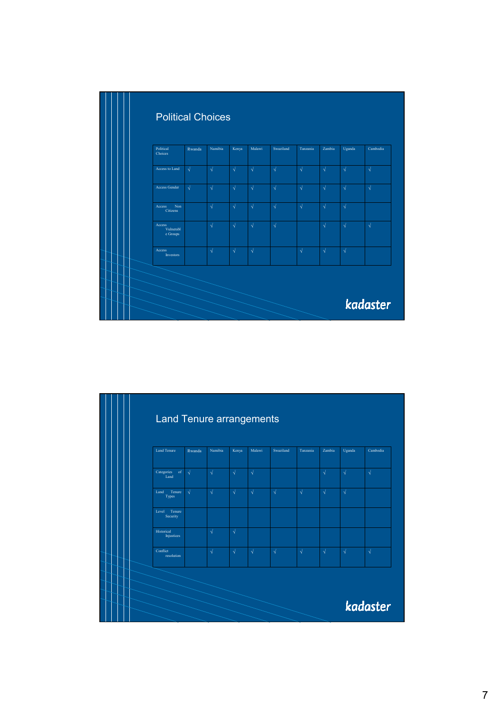| <b>Political Choices</b>        |            |            |            |            |            |            |            |            |            |
|---------------------------------|------------|------------|------------|------------|------------|------------|------------|------------|------------|
| Political<br>Choices            | Rwanda     | Namibia    | Kenya      | Malawi     | Swaziland  | Tanzania   | Zambia     | Uganda     | Cambodia   |
| Access to Land                  | $\sqrt{ }$ | $\sqrt{ }$ | $\sqrt{ }$ | $\sqrt{ }$ | $\sqrt{ }$ | $\sqrt{ }$ | $\sqrt{ }$ | $\sqrt{ }$ | $\sqrt{ }$ |
| <b>Access Gender</b>            | $\sqrt{ }$ | $\sqrt{ }$ | $\sqrt{ }$ | $\sqrt{ }$ | $\sqrt{ }$ | $\sqrt{ }$ | $\sqrt{ }$ | $\sqrt{ }$ | $\sqrt{ }$ |
| Non<br>Access<br>Citizens       |            | $\sqrt{ }$ | $\sqrt{ }$ | $\sqrt{ }$ | $\sqrt{ }$ | $\sqrt{ }$ | $\sqrt{ }$ | $\sqrt{ }$ |            |
| Access<br>Vulnerabl<br>e Groups |            | $\sqrt{ }$ | $\sqrt{ }$ | $\sqrt{ }$ | $\sqrt{ }$ |            | $\sqrt{ }$ | $\sqrt{ }$ | $\sqrt{ }$ |
| Access<br><b>Investors</b>      |            | $\sqrt{ }$ | $\sqrt{ }$ | $\sqrt{ }$ |            | $\sqrt{ }$ | $\sqrt{ }$ | $\sqrt{ }$ |            |
|                                 |            |            |            |            |            |            |            |            |            |
|                                 |            |            |            |            |            |            |            |            | kadaster   |

| <b>Land Tenure</b>              | Rwanda     | Namibia    | Kenya      | Malawi     | Swaziland  | Tanzania   | Zambia     | Uganda    | Cambodia   |
|---------------------------------|------------|------------|------------|------------|------------|------------|------------|-----------|------------|
| Categories of<br>Land           | $\sqrt{ }$ | $\sqrt{ }$ | $\sqrt{ }$ | $\sqrt{ }$ |            |            | $\sqrt{ }$ | $\sqrt{}$ | $\sqrt{ }$ |
| Tenure<br>Land<br>Types         | $\sqrt{ }$ | $\sqrt{ }$ | $\sqrt{ }$ | $\sqrt{ }$ | $\sqrt{}$  | $\sqrt{ }$ | $\sqrt{}$  | $\sqrt{}$ |            |
| Level Tenure<br>Security        |            |            |            |            |            |            |            |           |            |
| Historical<br><b>Injustices</b> |            | $\sqrt{ }$ | $\sqrt{ }$ |            |            |            |            |           |            |
| Conflict<br>resolution          |            | $\sqrt{ }$ | $\sqrt{ }$ | $\sqrt{ }$ | $\sqrt{ }$ | $\sqrt{ }$ | $\sqrt{ }$ | $\sqrt{}$ | $\sqrt{ }$ |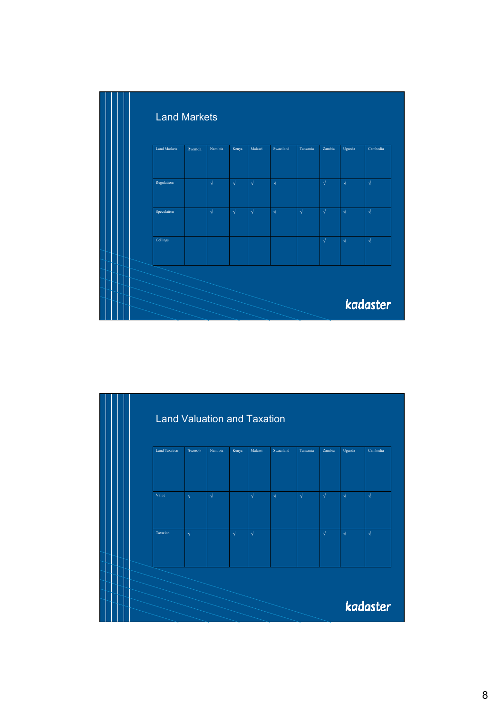| <b>Land Markets</b> |        |            |            |            |            |            |            |            |            |
|---------------------|--------|------------|------------|------------|------------|------------|------------|------------|------------|
| <b>Land Markets</b> | Rwanda | Namibia    | Kenya      | Malawi     | Swaziland  | Tanzania   | Zambia     | Uganda     | Cambodia   |
|                     |        |            |            |            |            |            |            |            |            |
| Regulations         |        | $\sqrt{ }$ | $\sqrt{ }$ | $\sqrt{ }$ | $\sqrt{ }$ |            | $\sqrt{ }$ | $\sqrt{ }$ | $\sqrt{}$  |
| Speculation         |        | $\sqrt{ }$ | $\sqrt{ }$ | $\sqrt{ }$ | $\sqrt{ }$ | $\sqrt{ }$ | $\sqrt{ }$ | $\sqrt{}$  | $\sqrt{}$  |
| Ceilings            |        |            |            |            |            |            | $\sqrt{ }$ | $\sqrt{ }$ | $\sqrt{ }$ |
|                     |        |            |            |            |            |            |            |            |            |
|                     |        |            |            |            |            |            |            |            | kadaster   |

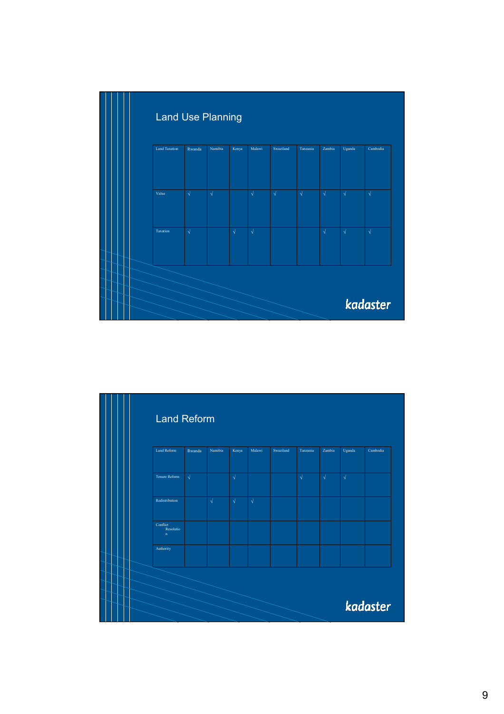

| <b>Land Reform</b>                    |            |            |            |            |           |            |            |            |          |
|---------------------------------------|------------|------------|------------|------------|-----------|------------|------------|------------|----------|
| <b>Land Reform</b>                    | Rwanda     | Namibia    | Kenya      | Malawi     | Swaziland | Tanzania   | Zambia     | Uganda     | Cambodia |
|                                       |            |            |            |            |           |            |            |            |          |
| Tenure Reform                         | $\sqrt{ }$ |            | $\sqrt{ }$ |            |           | $\sqrt{ }$ | $\sqrt{ }$ | $\sqrt{ }$ |          |
| Redistribution                        |            | $\sqrt{ }$ | $\sqrt{ }$ | $\sqrt{ }$ |           |            |            |            |          |
| Conflict<br>Resolutio<br>$\mathbf{n}$ |            |            |            |            |           |            |            |            |          |
| Authority                             |            |            |            |            |           |            |            |            |          |
|                                       |            |            |            |            |           |            |            |            |          |
|                                       |            |            |            |            |           |            |            |            |          |
|                                       |            |            |            |            |           |            |            |            | kadaster |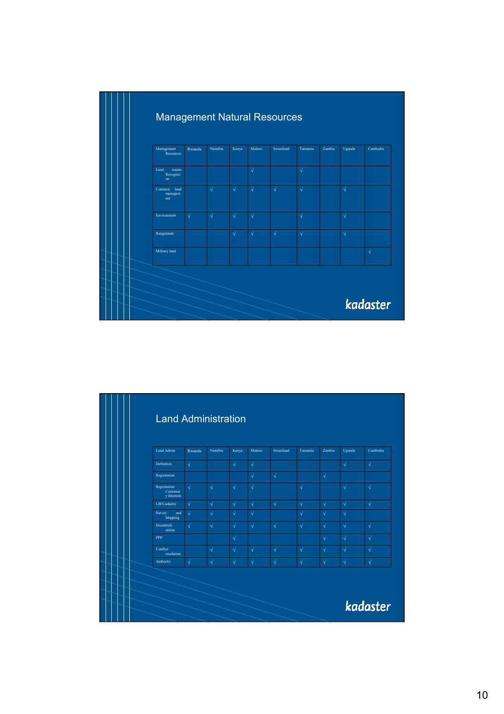| Management<br>Resources           | Rwanda     | Namibia    | Kenya      | Malawi     | Swaziland  | Tanzania   | Zambia | Uganda    | Cambodia  |
|-----------------------------------|------------|------------|------------|------------|------------|------------|--------|-----------|-----------|
| Land<br>tenure<br>Recogniti<br>on |            |            |            | $\sqrt{ }$ |            | $\sqrt{ }$ |        |           |           |
| land<br>Common<br>managem<br>ent  |            | $\sqrt{ }$ | $\sqrt{ }$ | $\sqrt{ }$ | $\sqrt{ }$ | $\sqrt{ }$ |        | $\sqrt{}$ |           |
| Environment                       | $\sqrt{ }$ | $\sqrt{ }$ | $\sqrt{ }$ | $\sqrt{ }$ |            | $\sqrt{ }$ |        | $\sqrt{}$ |           |
| Rangelands                        |            |            | $\sqrt{ }$ | $\sqrt{ }$ | $\sqrt{ }$ | $\sqrt{ }$ |        | $\sqrt{}$ |           |
| Military land                     |            |            |            |            |            |            |        |           | $\sqrt{}$ |

| Land Admin                              | Rwanda     | Namibia    | Kenya      | Malawi     | Swaziland  | Tanzania   | Zambia     | Uganda     | Cambodia   |
|-----------------------------------------|------------|------------|------------|------------|------------|------------|------------|------------|------------|
| Definition                              | $\sqrt{}$  |            | $\sqrt{ }$ | $\sqrt{ }$ |            |            |            | $\sqrt{ }$ | $\sqrt{}$  |
| Registration                            |            |            |            | $\sqrt{ }$ | $\sqrt{ }$ |            | $\sqrt{ }$ |            |            |
| Registration<br>Customar<br>y Interests | $\sqrt{ }$ | $\sqrt{ }$ | $\sqrt{ }$ | $\sqrt{ }$ |            | $\sqrt{ }$ |            | $\sqrt{ }$ | $\sqrt{}$  |
| LIS/Cadastre                            | $\sqrt{}$  | $\sqrt{ }$ | $\sqrt{ }$ | $\sqrt{ }$ | $\sqrt{}$  | $\sqrt{ }$ | $\sqrt{ }$ | $\sqrt{ }$ | $\sqrt{}$  |
| Survey<br>and<br>Mapping                | $\sqrt{ }$ | $\sqrt{ }$ | $\sqrt{ }$ | $\sqrt{ }$ |            | $\sqrt{ }$ | $\sqrt{ }$ | $\sqrt{ }$ |            |
| Decentrali-<br>zation                   | $\sqrt{}$  | $\sqrt{ }$ | $\sqrt{ }$ | $\sqrt{ }$ | $\sqrt{}$  | $\sqrt{ }$ | $\sqrt{ }$ | $\sqrt{ }$ | $\sqrt{}$  |
| <b>PPP</b>                              |            |            | $\sqrt{ }$ |            |            |            | $\sqrt{ }$ | $\sqrt{ }$ | $\sqrt{ }$ |
| Conflict<br>resolution                  |            | $\sqrt{ }$ | $\sqrt{ }$ | $\sqrt{ }$ | $\sqrt{}$  | $\sqrt{ }$ | $\sqrt{ }$ | $\sqrt{ }$ | $\sqrt{}$  |
| Authority                               | $\sqrt{}$  | $\sqrt{ }$ | $\sqrt{ }$ | $\sqrt{ }$ | $\sqrt{}$  | $\sqrt{ }$ | $\sqrt{ }$ | $\sqrt{ }$ | $\sqrt{}$  |